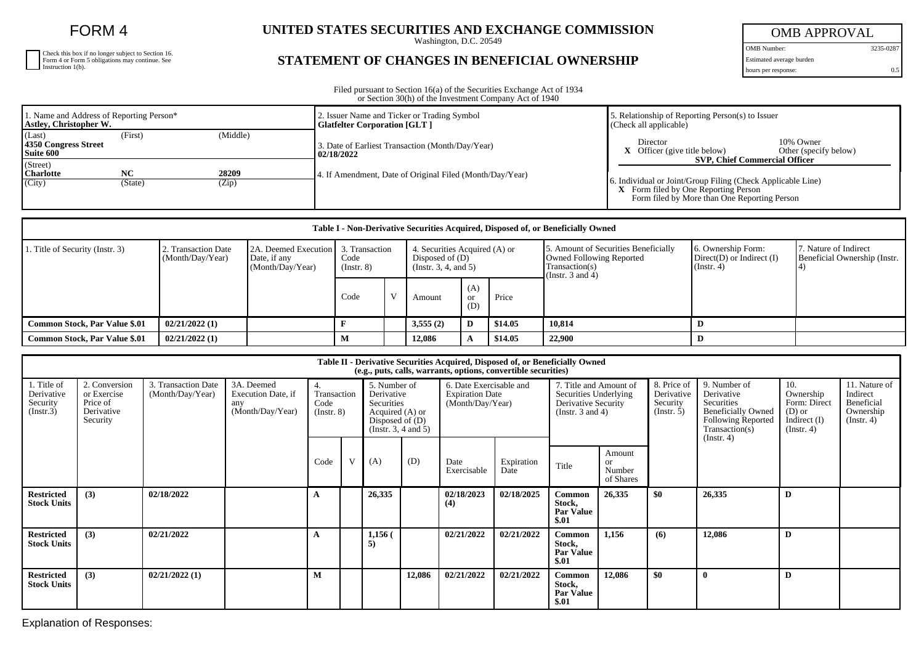FORM 4

| Check this box if no longer subject to Section 16.<br>Form 4 or Form 5 obligations may continue. See<br>Instruction 1(b). |
|---------------------------------------------------------------------------------------------------------------------------|
|                                                                                                                           |
|                                                                                                                           |

## **UNITED STATES SECURITIES AND EXCHANGE COMMISSION**

Washington, D.C. 20549

## **STATEMENT OF CHANGES IN BENEFICIAL OWNERSHIP**

OMB APPROVAL

OMB Number: 3235-0287 Estimated average burden hours per response: 0.5

Filed pursuant to Section 16(a) of the Securities Exchange Act of 1934 or Section 30(h) of the Investment Company Act of 1940

| 1. Name and Address of Reporting Person*<br>Astley, Christopher W. |           |          | 2. Issuer Name and Ticker or Trading Symbol<br><b>Glatfelter Corporation [GLT ]</b> | Relationship of Reporting Person(s) to Issuer<br>(Check all applicable)                            |  |  |  |
|--------------------------------------------------------------------|-----------|----------|-------------------------------------------------------------------------------------|----------------------------------------------------------------------------------------------------|--|--|--|
| (Last)<br>4350 Congress Street<br>Suite 600                        | (First)   | (Middle) | 3. Date of Earliest Transaction (Month/Day/Year)<br>  02/18/2022                    | Director<br>10% Owner<br>$X$ Officer (give title below)<br>Other (specify below)                   |  |  |  |
| (Street)<br><b>Charlotte</b>                                       | <b>NC</b> | 28209    | 4. If Amendment, Date of Original Filed (Month/Day/Year)                            | <b>SVP. Chief Commercial Officer</b><br>. Individual or Joint/Group Filing (Check Applicable Line) |  |  |  |
| (City)                                                             | (State)   | (Zip)    |                                                                                     | <b>X</b> Form filed by One Reporting Person<br>Form filed by More than One Reporting Person        |  |  |  |

| Table I - Non-Derivative Securities Acquired, Disposed of, or Beneficially Owned |                                         |                                                                           |                     |  |                                                                            |                         |         |                                                                                                                    |                                                                          |                                                       |  |
|----------------------------------------------------------------------------------|-----------------------------------------|---------------------------------------------------------------------------|---------------------|--|----------------------------------------------------------------------------|-------------------------|---------|--------------------------------------------------------------------------------------------------------------------|--------------------------------------------------------------------------|-------------------------------------------------------|--|
| 1. Title of Security (Instr. 3)                                                  | 2. Transaction Date<br>(Month/Day/Year) | 2A. Deemed Execution   3. Transaction<br>Date, if any<br>(Month/Day/Year) | Code<br>(Insert. 8) |  | 4. Securities Acquired (A) or<br>Disposed of $(D)$<br>(Instr. 3, 4, and 5) |                         |         | 5. Amount of Securities Beneficially<br><b>Owned Following Reported</b><br>Transaction(s)<br>(Instr. $3$ and $4$ ) | 16. Ownership Form:<br>$Direct(D)$ or Indirect $(I)$<br>$($ Instr. 4 $)$ | 7. Nature of Indirect<br>Beneficial Ownership (Instr. |  |
|                                                                                  |                                         |                                                                           | Code                |  | Amount                                                                     | (A)<br><b>or</b><br>(D) | Price   |                                                                                                                    |                                                                          |                                                       |  |
| <b>Common Stock, Par Value \$.01</b>                                             | 02/21/2022(1)                           |                                                                           |                     |  | 3,555(2)                                                                   | D                       | \$14.05 | 10.814                                                                                                             |                                                                          |                                                       |  |
| <b>Common Stock, Par Value \$.01</b>                                             | 02/21/2022(1)                           |                                                                           | М                   |  | 12,086                                                                     |                         | \$14.05 | 22,900                                                                                                             |                                                                          |                                                       |  |

| Table II - Derivative Securities Acquired, Disposed of, or Beneficially Owned<br>(e.g., puts, calls, warrants, options, convertible securities) |                                                                    |                                         |                                                             |                                              |                                                                                                         |                 |        |                                                                       |                    |                                                                                                 |                                            |                                                      |                                                                                                                                    |                                                                                  |                                                                          |
|-------------------------------------------------------------------------------------------------------------------------------------------------|--------------------------------------------------------------------|-----------------------------------------|-------------------------------------------------------------|----------------------------------------------|---------------------------------------------------------------------------------------------------------|-----------------|--------|-----------------------------------------------------------------------|--------------------|-------------------------------------------------------------------------------------------------|--------------------------------------------|------------------------------------------------------|------------------------------------------------------------------------------------------------------------------------------------|----------------------------------------------------------------------------------|--------------------------------------------------------------------------|
| 1. Title of<br>Derivative<br>Security<br>(Insert.3)                                                                                             | 2. Conversion<br>or Exercise<br>Price of<br>Derivative<br>Security | 3. Transaction Date<br>(Month/Day/Year) | 3A. Deemed<br>Execution Date, if<br>any<br>(Month/Day/Year) | 4.<br>Transaction<br>Code<br>$($ Instr. $8)$ | 5. Number of<br>Derivative<br>Securities<br>Acquired (A) or<br>Disposed of $(D)$<br>(Instr. 3, 4 and 5) |                 |        | 6. Date Exercisable and<br><b>Expiration Date</b><br>(Month/Day/Year) |                    | 7. Title and Amount of<br>Securities Underlying<br>Derivative Security<br>(Instr. $3$ and $4$ ) |                                            | 8. Price of<br>Derivative<br>Security<br>(Insert. 5) | 9. Number of<br>Derivative<br>Securities<br><b>Beneficially Owned</b><br><b>Following Reported</b><br>Transaction(s)<br>(Instr. 4) | 10.<br>Ownership<br>Form: Direct<br>$(D)$ or<br>Indirect (I)<br>$($ Instr. 4 $)$ | 11. Nature of<br>Indirect<br>Beneficial<br>Ownership<br>$($ Instr. 4 $)$ |
|                                                                                                                                                 |                                                                    |                                         |                                                             | Code                                         | V                                                                                                       | (A)             | (D)    | Date<br>Exercisable                                                   | Expiration<br>Date | Title                                                                                           | Amount<br><b>or</b><br>Number<br>of Shares |                                                      |                                                                                                                                    |                                                                                  |                                                                          |
| <b>Restricted</b><br><b>Stock Units</b>                                                                                                         | (3)                                                                | 02/18/2022                              |                                                             | A                                            |                                                                                                         | 26,335          |        | 02/18/2023<br>(4)                                                     | 02/18/2025         | Common<br>Stock,<br><b>Par Value</b><br>\$.01                                                   | 26,335                                     | \$0                                                  | 26,335                                                                                                                             | D                                                                                |                                                                          |
| <b>Restricted</b><br><b>Stock Units</b>                                                                                                         | (3)                                                                | 02/21/2022                              |                                                             | A                                            |                                                                                                         | $1,156$ (<br>5) |        | 02/21/2022                                                            | 02/21/2022         | Common<br>Stock.<br><b>Par Value</b><br>\$.01                                                   | 1,156                                      | (6)                                                  | 12,086                                                                                                                             | D                                                                                |                                                                          |
| <b>Restricted</b><br><b>Stock Units</b>                                                                                                         | (3)                                                                | 02/21/2022(1)                           |                                                             | M                                            |                                                                                                         |                 | 12,086 | 02/21/2022                                                            | 02/21/2022         | Common<br>Stock,<br><b>Par Value</b><br>\$.01                                                   | 12,086                                     | \$0                                                  | -0                                                                                                                                 | D                                                                                |                                                                          |